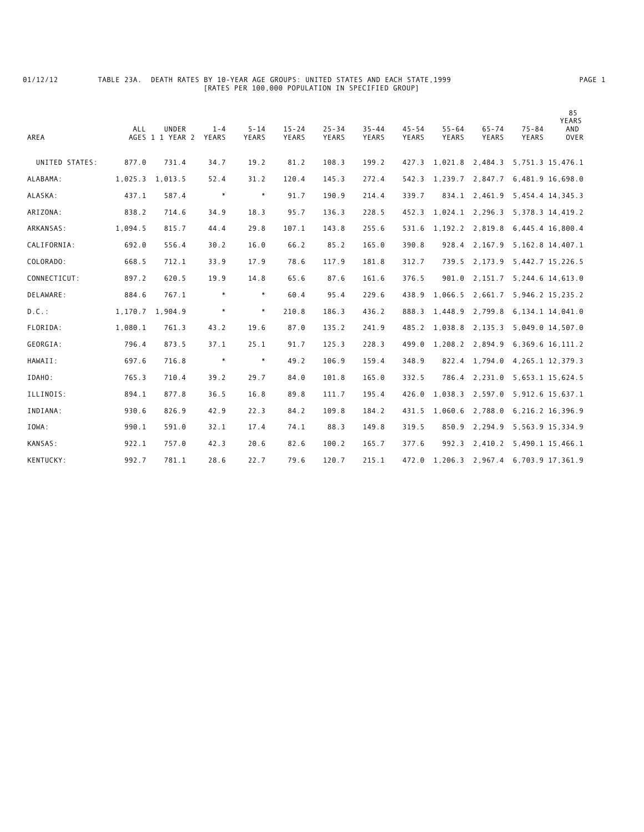## 01/12/12 TABLE 23A. DEATH RATES BY 10-YEAR AGE GROUPS: UNITED STATES AND EACH STATE,1999 PAGE 1 [RATES PER 100,000 POPULATION IN SPECIFIED GROUP]

| AREA           | <b>ALL</b> | <b>UNDER</b><br>AGES 1 1 YEAR 2 | $1 - 4$<br>YEARS | $5 - 14$<br>YEARS | $15 - 24$<br><b>YEARS</b> | $25 - 34$<br>YEARS | $35 - 44$<br>YEARS | $45 - 54$<br>YEARS | $55 - 64$<br>YEARS | $65 - 74$<br>YEARS | $75 - 84$<br>YEARS               | 85<br><b>YEARS</b><br>AND<br><b>OVER</b> |
|----------------|------------|---------------------------------|------------------|-------------------|---------------------------|--------------------|--------------------|--------------------|--------------------|--------------------|----------------------------------|------------------------------------------|
| UNITED STATES: | 877.0      | 731.4                           | 34.7             | 19.2              | 81.2                      | 108.3              | 199.2              | 427.3              | 1,021.8            | 2,484.3            | 5,751.3 15,476.1                 |                                          |
| ALABAMA:       | 1,025.3    | 1,013.5                         | 52.4             | 31.2              | 120.4                     | 145.3              | 272.4              | 542.3              | 1,239.7            | 2,847.7            | 6,481.9 16,698.0                 |                                          |
| ALASKA:        | 437.1      | 587.4                           | $\ast$           | $\ast$            | 91.7                      | 190.9              | 214.4              | 339.7              | 834.1              | 2,461.9            | 5,454.4 14,345.3                 |                                          |
| ARIZONA:       | 838.2      | 714.6                           | 34.9             | 18.3              | 95.7                      | 136.3              | 228.5              | 452.3              |                    |                    | 1,024.1 2,296.3 5,378.3 14,419.2 |                                          |
| ARKANSAS:      | 1,094.5    | 815.7                           | 44.4             | 29.8              | 107.1                     | 143.8              | 255.6              | 531.6              | 1,192.2            | 2,819.8            | 6,445.4 16,800.4                 |                                          |
| CALIFORNIA:    | 692.0      | 556.4                           | 30.2             | 16.0              | 66.2                      | 85.2               | 165.0              | 390.8              | 928.4              | 2,167.9            | 5, 162.8 14, 407.1               |                                          |
| COLORADO:      | 668.5      | 712.1                           | 33.9             | 17.9              | 78.6                      | 117.9              | 181.8              | 312.7              | 739.5              | 2,173.9            | 5, 442.7 15, 226.5               |                                          |
| CONNECTICUT:   | 897.2      | 620.5                           | 19.9             | 14.8              | 65.6                      | 87.6               | 161.6              | 376.5              | 901.0              |                    | 2, 151.7 5, 244.6 14, 613.0      |                                          |
| DELAWARE:      | 884.6      | 767.1                           | $\ast$           | $\ast$            | 60.4                      | 95.4               | 229.6              | 438.9              | 1,066.5            | 2,661.7            | 5,946.2 15,235.2                 |                                          |
| $D.C.$ :       | 1,170.7    | 1,904.9                         | $\ast$           | $\ast$            | 210.8                     | 186.3              | 436.2              | 888.3              | 1,448.9            | 2,799.8            | 6,134.1 14,041.0                 |                                          |
| FLORIDA:       | 1,080.1    | 761.3                           | 43.2             | 19.6              | 87.0                      | 135.2              | 241.9              | 485.2              | 1,038.8            | 2,135.3            | 5,049.0 14,507.0                 |                                          |
| GEORGIA:       | 796.4      | 873.5                           | 37.1             | 25.1              | 91.7                      | 125.3              | 228.3              | 499.0              | 1,208.2            | 2,894.9            | 6, 369.6 16, 111.2               |                                          |
| HAWAII:        | 697.6      | 716.8                           | $\ast$           | $\ast$            | 49.2                      | 106.9              | 159.4              | 348.9              | 822.4              | 1,794.0            | 4, 265. 1 12, 379. 3             |                                          |
| IDAHO:         | 765.3      | 710.4                           | 39.2             | 29.7              | 84.0                      | 101.8              | 165.0              | 332.5              | 786.4              | 2,231.0            | 5,653.1 15,624.5                 |                                          |
| ILLINOIS:      | 894.1      | 877.8                           | 36.5             | 16.8              | 89.8                      | 111.7              | 195.4              | 426.0              | 1,038.3            | 2,597.0            | 5, 912.6 15, 637.1               |                                          |
| INDIANA:       | 930.6      | 826.9                           | 42.9             | 22.3              | 84.2                      | 109.8              | 184.2              | 431.5              | 1,060.6            | 2,788.0            | 6, 216.2 16, 396.9               |                                          |
| IOWA:          | 990.1      | 591.0                           | 32.1             | 17.4              | 74.1                      | 88.3               | 149.8              | 319.5              | 850.9              | 2,294.9            | 5,563.9 15,334.9                 |                                          |
| KANSAS:        | 922.1      | 757.0                           | 42.3             | 20.6              | 82.6                      | 100.2              | 165.7              | 377.6              | 992.3              | 2,410.2            | 5,490.1 15,466.1                 |                                          |
| KENTUCKY:      | 992.7      | 781.1                           | 28.6             | 22.7              | 79.6                      | 120.7              | 215.1              |                    | 472.0 1,206.3      |                    | 2,967.4 6,703.9 17,361.9         |                                          |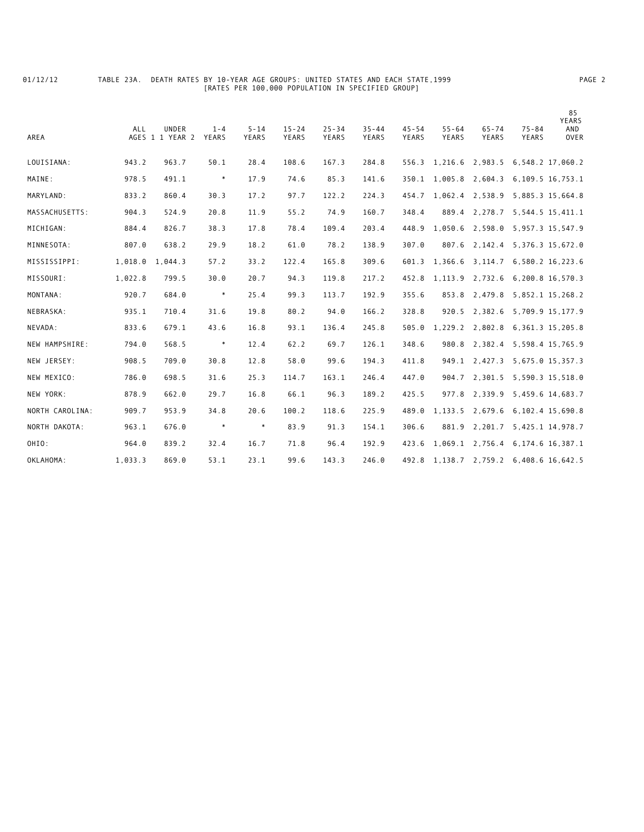## 01/12/12 TABLE 23A. DEATH RATES BY 10-YEAR AGE GROUPS: UNITED STATES AND EACH STATE,1999 PAGE 2 [RATES PER 100,000 POPULATION IN SPECIFIED GROUP]

| AREA            | ALL     | <b>UNDER</b><br>AGES 1 1 YEAR 2 | $1 - 4$<br>YEARS | $5 - 14$<br>YEARS | $15 - 24$<br>YEARS | $25 - 34$<br>YEARS | $35 - 44$<br>YEARS | $45 - 54$<br>YEARS | $55 - 64$<br>YEARS | $65 - 74$<br>YEARS | $75 - 84$<br>YEARS                         | 85<br><b>YEARS</b><br>AND<br><b>OVER</b> |
|-----------------|---------|---------------------------------|------------------|-------------------|--------------------|--------------------|--------------------|--------------------|--------------------|--------------------|--------------------------------------------|------------------------------------------|
| LOUISIANA:      | 943.2   | 963.7                           | 50.1             | 28.4              | 108.6              | 167.3              | 284.8              | 556.3              | 1,216.6            | 2,983.5            | 6,548.2 17,060.2                           |                                          |
| MAINE:          | 978.5   | 491.1                           | $\ast$           | 17.9              | 74.6               | 85.3               | 141.6              | 350.1              | 1.005.8            | 2,604.3            | 6, 109.5 16, 753.1                         |                                          |
| MARYLAND:       | 833.2   | 860.4                           | 30.3             | 17.2              | 97.7               | 122.2              | 224.3              | 454.7              | 1,062.4            | 2,538.9            | 5,885.3 15,664.8                           |                                          |
| MASSACHUSETTS:  | 904.3   | 524.9                           | 20.8             | 11.9              | 55.2               | 74.9               | 160.7              | 348.4              | 889.4              | 2,278.7            | 5, 544.5 15, 411.1                         |                                          |
| MICHIGAN:       | 884.4   | 826.7                           | 38.3             | 17.8              | 78.4               | 109.4              | 203.4              | 448.9              | 1,050.6            | 2,598.0            | 5, 957.3 15, 547.9                         |                                          |
| MINNESOTA:      | 807.0   | 638.2                           | 29.9             | 18.2              | 61.0               | 78.2               | 138.9              | 307.0              | 807.6              | 2,142.4            | 5, 376.3 15, 672.0                         |                                          |
| MISSISSIPPI:    | 1,018.0 | 1,044.3                         | 57.2             | 33.2              | 122.4              | 165.8              | 309.6              | 601.3              | 1,366.6            |                    | 3, 114.7 6, 580.2 16, 223.6                |                                          |
| MISSOURI:       | 1,022.8 | 799.5                           | 30.0             | 20.7              | 94.3               | 119.8              | 217.2              | 452.8              | 1,113.9            | 2,732.6            | 6,200.8 16,570.3                           |                                          |
| MONTANA:        | 920.7   | 684.0                           | $\ast$           | 25.4              | 99.3               | 113.7              | 192.9              | 355.6              | 853.8              | 2,479.8            | 5,852.1 15,268.2                           |                                          |
| NEBRASKA:       | 935.1   | 710.4                           | 31.6             | 19.8              | 80.2               | 94.0               | 166.2              | 328.8              | 920.5              | 2,382.6            | 5,709.9 15,177.9                           |                                          |
| NEVADA:         | 833.6   | 679.1                           | 43.6             | 16.8              | 93.1               | 136.4              | 245.8              | 505.0              | 1,229.2            | 2,802.8            | 6, 361. 3 15, 205. 8                       |                                          |
| NEW HAMPSHIRE:  | 794.0   | 568.5                           | $\ast$           | 12.4              | 62.2               | 69.7               | 126.1              | 348.6              | 980.8              | 2,382.4            | 5,598.4 15,765.9                           |                                          |
| NEW JERSEY:     | 908.5   | 709.0                           | 30.8             | 12.8              | 58.0               | 99.6               | 194.3              | 411.8              | 949.1              | 2,427.3            | 5,675.0 15,357.3                           |                                          |
| NEW MEXICO:     | 786.0   | 698.5                           | 31.6             | 25.3              | 114.7              | 163.1              | 246.4              | 447.0              | 904.7              | 2,301.5            | 5,590.3 15,518.0                           |                                          |
| NEW YORK:       | 878.9   | 662.0                           | 29.7             | 16.8              | 66.1               | 96.3               | 189.2              | 425.5              | 977.8              |                    | 2, 339.9 5, 459.6 14, 683.7                |                                          |
| NORTH CAROLINA: | 909.7   | 953.9                           | 34.8             | 20.6              | 100.2              | 118.6              | 225.9              | 489.0              | 1,133.5            | 2,679.6            | 6,102.4 15,690.8                           |                                          |
| NORTH DAKOTA:   | 963.1   | 676.0                           | $\ast$           | $\ast$            | 83.9               | 91.3               | 154.1              | 306.6              | 881.9              | 2,201.7            | 5, 425.1 14, 978.7                         |                                          |
| OHIO:           | 964.0   | 839.2                           | 32.4             | 16.7              | 71.8               | 96.4               | 192.9              | 423.6              | 1,069.1            |                    | 2,756.4 6,174.6 16,387.1                   |                                          |
| OKLAHOMA:       | 1,033.3 | 869.0                           | 53.1             | 23.1              | 99.6               | 143.3              | 246.0              |                    |                    |                    | 492.8 1, 138.7 2, 759.2 6, 408.6 16, 642.5 |                                          |